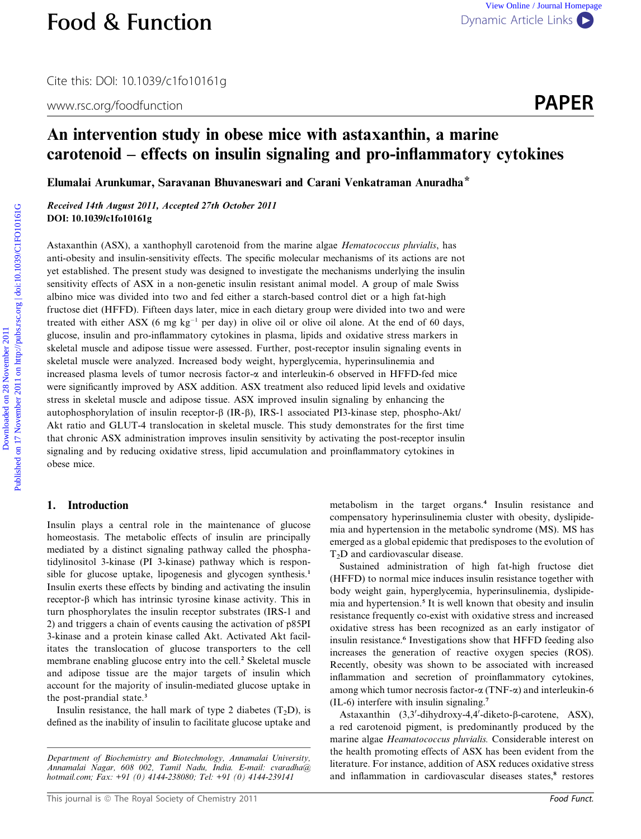Cite this: DOI: 10.1039/c1fo10161g

www.rsc.org/foodfunction **PAPER** 



# An intervention study in obese mice with astaxanthin, a marine carotenoid – effects on insulin signaling and pro-inflammatory cytokines

Elumalai Arunkumar, Saravanan Bhuvaneswari and Carani Venkatraman Anuradha\*

Received 14th August 2011, Accepted 27th October 2011 DOI: 10.1039/c1fo10161g

Astaxanthin (ASX), a xanthophyll carotenoid from the marine algae Hematococcus pluvialis, has anti-obesity and insulin-sensitivity effects. The specific molecular mechanisms of its actions are not yet established. The present study was designed to investigate the mechanisms underlying the insulin sensitivity effects of ASX in a non-genetic insulin resistant animal model. A group of male Swiss albino mice was divided into two and fed either a starch-based control diet or a high fat-high fructose diet (HFFD). Fifteen days later, mice in each dietary group were divided into two and were treated with either ASX (6 mg  $kg^{-1}$  per day) in olive oil or olive oil alone. At the end of 60 days, glucose, insulin and pro-inflammatory cytokines in plasma, lipids and oxidative stress markers in skeletal muscle and adipose tissue were assessed. Further, post-receptor insulin signaling events in skeletal muscle were analyzed. Increased body weight, hyperglycemia, hyperinsulinemia and increased plasma levels of tumor necrosis factor- $\alpha$  and interleukin-6 observed in HFFD-fed mice were significantly improved by ASX addition. ASX treatment also reduced lipid levels and oxidative stress in skeletal muscle and adipose tissue. ASX improved insulin signaling by enhancing the autophosphorylation of insulin receptor- $\beta$  (IR- $\beta$ ), IRS-1 associated PI3-kinase step, phospho-Akt/ Akt ratio and GLUT-4 translocation in skeletal muscle. This study demonstrates for the first time that chronic ASX administration improves insulin sensitivity by activating the post-receptor insulin signaling and by reducing oxidative stress, lipid accumulation and proinflammatory cytokines in obese mice. **Food & Function**<br>
Dynamic Article Links  $\bullet$ <br>
We bilite Zownload exercution study in obses mice with a<br>staxanthin, a marine carotenoid — effects on insulin signaling and pro-inflammatory cytokines<br>
Eluminoid Arunkman, Sa

## 1. Introduction

Insulin plays a central role in the maintenance of glucose homeostasis. The metabolic effects of insulin are principally mediated by a distinct signaling pathway called the phosphatidylinositol 3-kinase (PI 3-kinase) pathway which is responsible for glucose uptake, lipogenesis and glycogen synthesis.<sup>1</sup> Insulin exerts these effects by binding and activating the insulin  $receptor-\beta$  which has intrinsic tyrosine kinase activity. This in turn phosphorylates the insulin receptor substrates (IRS-1 and 2) and triggers a chain of events causing the activation of p85PI 3-kinase and a protein kinase called Akt. Activated Akt facilitates the translocation of glucose transporters to the cell membrane enabling glucose entry into the cell.<sup>2</sup> Skeletal muscle and adipose tissue are the major targets of insulin which account for the majority of insulin-mediated glucose uptake in the post-prandial state.<sup>3</sup>

Insulin resistance, the hall mark of type 2 diabetes  $(T<sub>2</sub>D)$ , is defined as the inability of insulin to facilitate glucose uptake and

metabolism in the target organs.<sup>4</sup> Insulin resistance and compensatory hyperinsulinemia cluster with obesity, dyslipidemia and hypertension in the metabolic syndrome (MS). MS has emerged as a global epidemic that predisposes to the evolution of T<sub>2</sub>D and cardiovascular disease.

Sustained administration of high fat-high fructose diet (HFFD) to normal mice induces insulin resistance together with body weight gain, hyperglycemia, hyperinsulinemia, dyslipidemia and hypertension.<sup>5</sup> It is well known that obesity and insulin resistance frequently co-exist with oxidative stress and increased oxidative stress has been recognized as an early instigator of insulin resistance.<sup>6</sup> Investigations show that HFFD feeding also increases the generation of reactive oxygen species (ROS). Recently, obesity was shown to be associated with increased inflammation and secretion of proinflammatory cytokines, among which tumor necrosis factor- $\alpha$  (TNF- $\alpha$ ) and interleukin-6 (IL-6) interfere with insulin signaling.<sup>7</sup>

Astaxanthin (3,3'-dihydroxy-4,4'-diketo-β-carotene, ASX), a red carotenoid pigment, is predominantly produced by the marine algae Heamatococcus pluvialis. Considerable interest on the health promoting effects of ASX has been evident from the literature. For instance, addition of ASX reduces oxidative stress and inflammation in cardiovascular diseases states,<sup>8</sup> restores

Department of Biochemistry and Biotechnology, Annamalai University, Annamalai Nagar, 608 002, Tamil Nadu, India. E-mail: cvaradha@ hotmail.com; Fax: +91 (0) 4144-238080; Tel: +91 (0) 4144-239141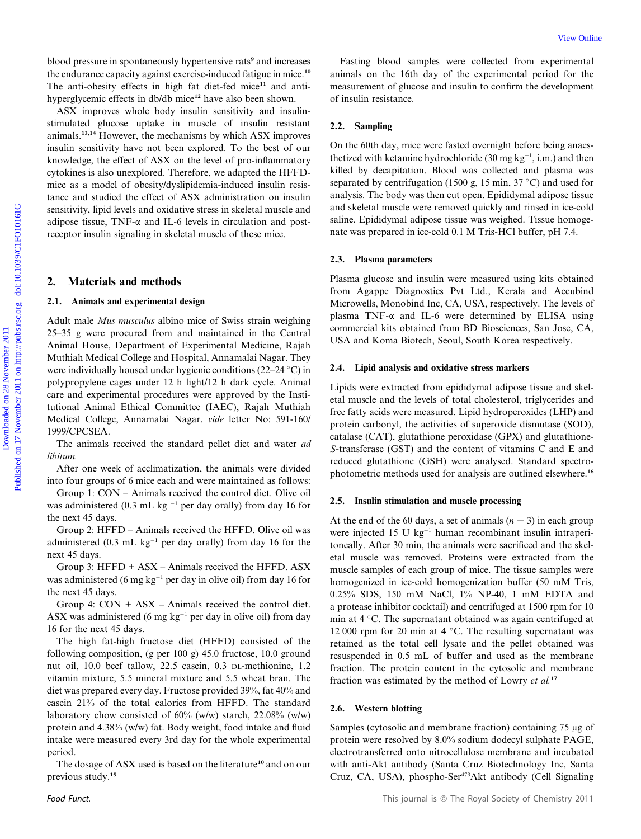blood pressure in spontaneously hypertensive rats<sup>9</sup> and increases the endurance capacity against exercise-induced fatigue in mice.<sup>10</sup> The anti-obesity effects in high fat diet-fed mice<sup>11</sup> and antihyperglycemic effects in db/db mice<sup>12</sup> have also been shown.

ASX improves whole body insulin sensitivity and insulinstimulated glucose uptake in muscle of insulin resistant animals.13,14 However, the mechanisms by which ASX improves insulin sensitivity have not been explored. To the best of our knowledge, the effect of ASX on the level of pro-inflammatory cytokines is also unexplored. Therefore, we adapted the HFFDmice as a model of obesity/dyslipidemia-induced insulin resistance and studied the effect of ASX administration on insulin sensitivity, lipid levels and oxidative stress in skeletal muscle and adipose tissue,  $TNF-\alpha$  and IL-6 levels in circulation and postreceptor insulin signaling in skeletal muscle of these mice. blood prosume in spontaneously by<br>performion and the contribution of the contribution of the figure in<br>the contribution of the figure in the figure in the figure in the figure<br>in the contribution of the figure in the figu

### 2. Materials and methods

#### 2.1. Animals and experimental design

Adult male Mus musculus albino mice of Swiss strain weighing 25–35 g were procured from and maintained in the Central Animal House, Department of Experimental Medicine, Rajah Muthiah Medical College and Hospital, Annamalai Nagar. They were individually housed under hygienic conditions (22–24  $\degree$ C) in polypropylene cages under 12 h light/12 h dark cycle. Animal care and experimental procedures were approved by the Institutional Animal Ethical Committee (IAEC), Rajah Muthiah Medical College, Annamalai Nagar. vide letter No: 591-160/ 1999/CPCSEA.

The animals received the standard pellet diet and water ad libitum.

After one week of acclimatization, the animals were divided into four groups of 6 mice each and were maintained as follows:

Group 1: CON – Animals received the control diet. Olive oil was administered (0.3 mL kg  $^{-1}$  per day orally) from day 16 for the next 45 days.

Group 2: HFFD – Animals received the HFFD. Olive oil was administered (0.3 mL  $kg^{-1}$  per day orally) from day 16 for the next 45 days.

Group 3: HFFD + ASX – Animals received the HFFD. ASX was administered (6 mg  $kg^{-1}$  per day in olive oil) from day 16 for the next 45 days.

Group 4:  $CON + ASX - Animals received the control diet.$ ASX was administered (6 mg  $kg^{-1}$  per day in olive oil) from day 16 for the next 45 days.

The high fat-high fructose diet (HFFD) consisted of the following composition, (g per 100 g) 45.0 fructose, 10.0 ground nut oil, 10.0 beef tallow, 22.5 casein, 0.3 DL-methionine, 1.2 vitamin mixture, 5.5 mineral mixture and 5.5 wheat bran. The diet was prepared every day. Fructose provided 39%, fat 40% and casein 21% of the total calories from HFFD. The standard laboratory chow consisted of  $60\%$  (w/w) starch, 22.08% (w/w) protein and 4.38% (w/w) fat. Body weight, food intake and fluid intake were measured every 3rd day for the whole experimental period.

The dosage of ASX used is based on the literature<sup>10</sup> and on our previous study.<sup>15</sup>

Fasting blood samples were collected from experimental animals on the 16th day of the experimental period for the measurement of glucose and insulin to confirm the development of insulin resistance.

#### 2.2. Sampling

On the 60th day, mice were fasted overnight before being anaesthetized with ketamine hydrochloride (30 mg  $kg^{-1}$ , i.m.) and then killed by decapitation. Blood was collected and plasma was separated by centrifugation (1500 g, 15 min, 37 °C) and used for analysis. The body was then cut open. Epididymal adipose tissue and skeletal muscle were removed quickly and rinsed in ice-cold saline. Epididymal adipose tissue was weighed. Tissue homogenate was prepared in ice-cold 0.1 M Tris-HCl buffer, pH 7.4.

#### 2.3. Plasma parameters

Plasma glucose and insulin were measured using kits obtained from Agappe Diagnostics Pvt Ltd., Kerala and Accubind Microwells, Monobind Inc, CA, USA, respectively. The levels of plasma  $TNF-\alpha$  and IL-6 were determined by ELISA using commercial kits obtained from BD Biosciences, San Jose, CA, USA and Koma Biotech, Seoul, South Korea respectively.

#### 2.4. Lipid analysis and oxidative stress markers

Lipids were extracted from epididymal adipose tissue and skeletal muscle and the levels of total cholesterol, triglycerides and free fatty acids were measured. Lipid hydroperoxides (LHP) and protein carbonyl, the activities of superoxide dismutase (SOD), catalase (CAT), glutathione peroxidase (GPX) and glutathione-S-transferase (GST) and the content of vitamins C and E and reduced glutathione (GSH) were analysed. Standard spectrophotometric methods used for analysis are outlined elsewhere.<sup>16</sup>

#### 2.5. Insulin stimulation and muscle processing

At the end of the 60 days, a set of animals  $(n = 3)$  in each group were injected 15 U  $kg^{-1}$  human recombinant insulin intraperitoneally. After 30 min, the animals were sacrificed and the skeletal muscle was removed. Proteins were extracted from the muscle samples of each group of mice. The tissue samples were homogenized in ice-cold homogenization buffer (50 mM Tris, 0.25% SDS, 150 mM NaCl, 1% NP-40, 1 mM EDTA and a protease inhibitor cocktail) and centrifuged at 1500 rpm for 10 min at  $4^{\circ}$ C. The supernatant obtained was again centrifuged at 12 000 rpm for 20 min at  $4^{\circ}$ C. The resulting supernatant was retained as the total cell lysate and the pellet obtained was resuspended in 0.5 mL of buffer and used as the membrane fraction. The protein content in the cytosolic and membrane fraction was estimated by the method of Lowry et al.<sup>17</sup>

#### 2.6. Western blotting

Samples (cytosolic and membrane fraction) containing 75 µg of protein were resolved by 8.0% sodium dodecyl sulphate PAGE, electrotransferred onto nitrocellulose membrane and incubated with anti-Akt antibody (Santa Cruz Biotechnology Inc, Santa Cruz, CA, USA), phospho-Ser<sup>473</sup>Akt antibody (Cell Signaling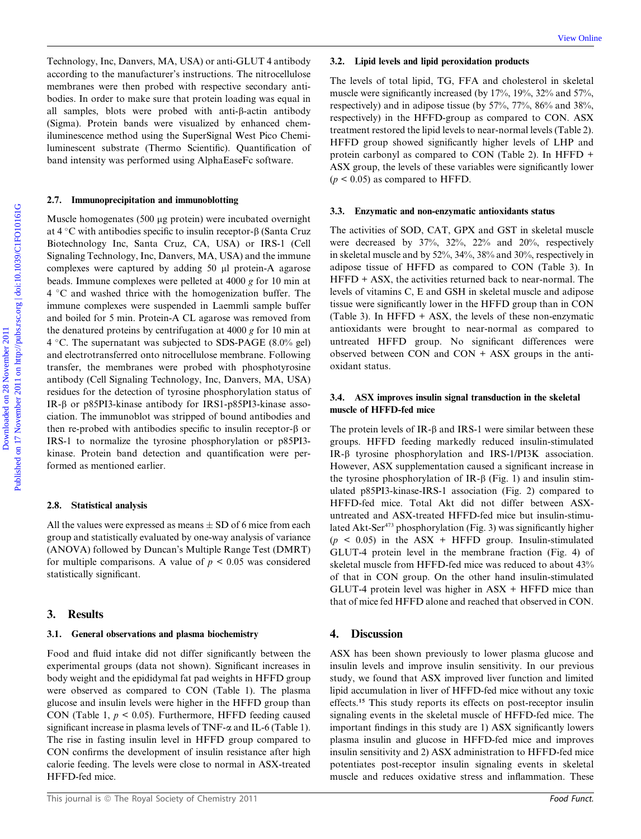Technology, Inc, Danvers, MA, USA) or anti-GLUT 4 antibody according to the manufacturer's instructions. The nitrocellulose membranes were then probed with respective secondary antibodies. In order to make sure that protein loading was equal in all samples, blots were probed with anti- $\beta$ -actin antibody (Sigma). Protein bands were visualized by enhanced chemiluminescence method using the SuperSignal West Pico Chemiluminescent substrate (Thermo Scientific). Quantification of band intensity was performed using AlphaEaseFc software.

#### 2.7. Immunoprecipitation and immunoblotting

Muscle homogenates (500 µg protein) were incubated overnight at  $4^{\circ}$ C with antibodies specific to insulin receptor- $\beta$  (Santa Cruz Biotechnology Inc, Santa Cruz, CA, USA) or IRS-1 (Cell Signaling Technology, Inc, Danvers, MA, USA) and the immune complexes were captured by adding  $50 \mu l$  protein-A agarose beads. Immune complexes were pelleted at 4000 g for 10 min at  $4 °C$  and washed thrice with the homogenization buffer. The immune complexes were suspended in Laemmli sample buffer and boiled for 5 min. Protein-A CL agarose was removed from the denatured proteins by centrifugation at 4000 g for 10 min at 4 °C. The supernatant was subjected to SDS-PAGE (8.0% gel) and electrotransferred onto nitrocellulose membrane. Following transfer, the membranes were probed with phosphotyrosine antibody (Cell Signaling Technology, Inc, Danvers, MA, USA) residues for the detection of tyrosine phosphorylation status of IR-b or p85PI3-kinase antibody for IRS1-p85PI3-kinase association. The immunoblot was stripped of bound antibodies and then re-probed with antibodies specific to insulin receptor- $\beta$  or IRS-1 to normalize the tyrosine phosphorylation or p85PI3 kinase. Protein band detection and quantification were performed as mentioned earlier. Technology, Inc. Dawners MA, USA) at anti-GLUT 4 satisfied) **3.2.** Lipli levels and lipid percediation probably and monotherines the manufacture is the consideration of the properties in the consideration of the satisfact

#### 2.8. Statistical analysis

All the values were expressed as means  $\pm$  SD of 6 mice from each group and statistically evaluated by one-way analysis of variance (ANOVA) followed by Duncan's Multiple Range Test (DMRT) for multiple comparisons. A value of  $p < 0.05$  was considered statistically significant.

#### 3. Results

### 3.1. General observations and plasma biochemistry

Food and fluid intake did not differ significantly between the experimental groups (data not shown). Significant increases in body weight and the epididymal fat pad weights in HFFD group were observed as compared to CON (Table 1). The plasma glucose and insulin levels were higher in the HFFD group than CON (Table 1,  $p < 0.05$ ). Furthermore, HFFD feeding caused significant increase in plasma levels of TNF- $\alpha$  and IL-6 (Table 1). The rise in fasting insulin level in HFFD group compared to CON confirms the development of insulin resistance after high calorie feeding. The levels were close to normal in ASX-treated HFFD-fed mice.

#### 3.2. Lipid levels and lipid peroxidation products

The levels of total lipid, TG, FFA and cholesterol in skeletal muscle were significantly increased (by 17%, 19%, 32% and 57%, respectively) and in adipose tissue (by 57%, 77%, 86% and 38%, respectively) in the HFFD-group as compared to CON. ASX treatment restored the lipid levels to near-normal levels (Table 2). HFFD group showed significantly higher levels of LHP and protein carbonyl as compared to CON (Table 2). In HFFD + ASX group, the levels of these variables were significantly lower  $(p < 0.05)$  as compared to HFFD.

#### 3.3. Enzymatic and non-enzymatic antioxidants status

The activities of SOD, CAT, GPX and GST in skeletal muscle were decreased by 37%, 32%, 22% and 20%, respectively in skeletal muscle and by 52%, 34%, 38% and 30%, respectively in adipose tissue of HFFD as compared to CON (Table 3). In HFFD + ASX, the activities returned back to near-normal. The levels of vitamins C, E and GSH in skeletal muscle and adipose tissue were significantly lower in the HFFD group than in CON (Table 3). In HFFD + ASX, the levels of these non-enzymatic antioxidants were brought to near-normal as compared to untreated HFFD group. No significant differences were observed between CON and CON + ASX groups in the antioxidant status.

### 3.4. ASX improves insulin signal transduction in the skeletal muscle of HFFD-fed mice

The protein levels of IR- $\beta$  and IRS-1 were similar between these groups. HFFD feeding markedly reduced insulin-stimulated IR-b tyrosine phosphorylation and IRS-1/PI3K association. However, ASX supplementation caused a significant increase in the tyrosine phosphorylation of IR- $\beta$  (Fig. 1) and insulin stimulated p85PI3-kinase-IRS-1 association (Fig. 2) compared to HFFD-fed mice. Total Akt did not differ between ASXuntreated and ASX-treated HFFD-fed mice but insulin-stimulated Akt-Ser<sup>473</sup> phosphorylation (Fig. 3) was significantly higher  $(p \le 0.05)$  in the ASX + HFFD group. Insulin-stimulated GLUT-4 protein level in the membrane fraction (Fig. 4) of skeletal muscle from HFFD-fed mice was reduced to about 43% of that in CON group. On the other hand insulin-stimulated GLUT-4 protein level was higher in  $\text{ASX}$  + HFFD mice than that of mice fed HFFD alone and reached that observed in CON.

#### 4. Discussion

ASX has been shown previously to lower plasma glucose and insulin levels and improve insulin sensitivity. In our previous study, we found that ASX improved liver function and limited lipid accumulation in liver of HFFD-fed mice without any toxic effects.<sup>15</sup> This study reports its effects on post-receptor insulin signaling events in the skeletal muscle of HFFD-fed mice. The important findings in this study are 1) ASX significantly lowers plasma insulin and glucose in HFFD-fed mice and improves insulin sensitivity and 2) ASX administration to HFFD-fed mice potentiates post-receptor insulin signaling events in skeletal muscle and reduces oxidative stress and inflammation. These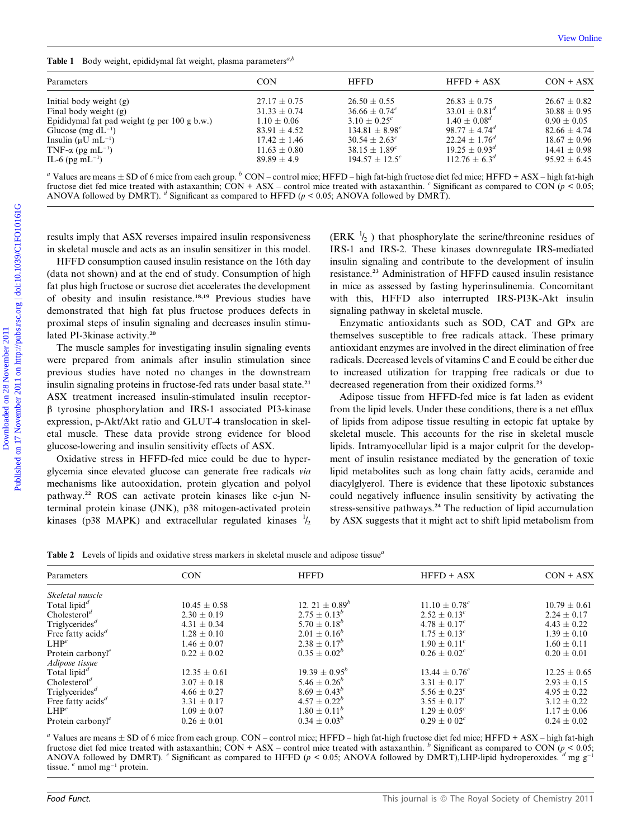**Table 1** Body weight, epididymal fat weight, plasma parameters<sup> $a,b$ </sup>

| Parameters                                                                                                                                                                                                                                                                                                                                                                                                                                                                                                                                                                                                                                                                                                                                         | <b>CON</b>                          | <b>HFFD</b>                                                     | HFFD + ASX                                                                                                                                                                                                                                                                                                          | $CON + ASX$                          |
|----------------------------------------------------------------------------------------------------------------------------------------------------------------------------------------------------------------------------------------------------------------------------------------------------------------------------------------------------------------------------------------------------------------------------------------------------------------------------------------------------------------------------------------------------------------------------------------------------------------------------------------------------------------------------------------------------------------------------------------------------|-------------------------------------|-----------------------------------------------------------------|---------------------------------------------------------------------------------------------------------------------------------------------------------------------------------------------------------------------------------------------------------------------------------------------------------------------|--------------------------------------|
| Initial body weight $(g)$                                                                                                                                                                                                                                                                                                                                                                                                                                                                                                                                                                                                                                                                                                                          | $27.17 \pm 0.75$                    | $26.50 \pm 0.55$                                                | $26.83 \pm 0.75$                                                                                                                                                                                                                                                                                                    | $26.67 \pm 0.82$                     |
| Final body weight (g)                                                                                                                                                                                                                                                                                                                                                                                                                                                                                                                                                                                                                                                                                                                              | $31.33 \pm 0.74$                    | $36.66 \pm 0.74$ <sup>c</sup>                                   | $33.01 \pm 0.81^{d}$                                                                                                                                                                                                                                                                                                | $30.88 \pm 0.95$                     |
| Epididymal fat pad weight (g per 100 g b.w.)                                                                                                                                                                                                                                                                                                                                                                                                                                                                                                                                                                                                                                                                                                       | $1.10 \pm 0.06$                     | $3.10 \pm 0.25$ <sup>c</sup>                                    | $1.40 \pm 0.08^d$                                                                                                                                                                                                                                                                                                   | $0.90\pm0.05$                        |
| Glucose (mg $dL^{-1}$ )                                                                                                                                                                                                                                                                                                                                                                                                                                                                                                                                                                                                                                                                                                                            | $83.91 \pm 4.52$                    | $134.81 \pm 8.98^{c}$                                           | $98.77 \pm 4.74^d$                                                                                                                                                                                                                                                                                                  | $82.66 \pm 4.74$                     |
| Insulin ( $\mu$ U mL <sup>-1</sup> )                                                                                                                                                                                                                                                                                                                                                                                                                                                                                                                                                                                                                                                                                                               | $17.42 \pm 1.46$                    | $30.54 \pm 2.63^c$                                              | $22.24 \pm 1.76^d$                                                                                                                                                                                                                                                                                                  | $18.67 \pm 0.96$                     |
| TNF- $\alpha$ (pg mL <sup>-1</sup> )<br>IL-6 (pg mL $^{-1}$ )                                                                                                                                                                                                                                                                                                                                                                                                                                                                                                                                                                                                                                                                                      | $11.63 \pm 0.80$<br>$89.89 \pm 4.9$ | $38.15 \pm 1.89$ <sup>c</sup><br>$194.57 \pm 12.5$ <sup>c</sup> | $19.25 \pm 0.93^d$<br>$112.76 \pm 6.3^d$                                                                                                                                                                                                                                                                            | $14.41 \pm 0.98$<br>$95.92 \pm 6.45$ |
| fructose diet fed mice treated with astaxanthin; CON + ASX – control mice treated with astaxanthin. $\degree$ Significant as compared to CON ( $p < 0.05$ ;<br>ANOVA followed by DMRT). $^d$ Significant as compared to HFFD ( $p < 0.05$ ; ANOVA followed by DMRT).                                                                                                                                                                                                                                                                                                                                                                                                                                                                               |                                     |                                                                 |                                                                                                                                                                                                                                                                                                                     |                                      |
| HFFD consumption caused insulin resistance on the 16th day<br>(data not shown) and at the end of study. Consumption of high                                                                                                                                                                                                                                                                                                                                                                                                                                                                                                                                                                                                                        |                                     |                                                                 | insulin signaling and contribute to the development of insulin<br>resistance. <sup>23</sup> Administration of HFFD caused insulin resistance                                                                                                                                                                        |                                      |
| The muscle samples for investigating insulin signaling events                                                                                                                                                                                                                                                                                                                                                                                                                                                                                                                                                                                                                                                                                      |                                     | signaling pathway in skeletal muscle.                           | in mice as assessed by fasting hyperinsulinemia. Concomitant<br>with this, HFFD also interrupted IRS-PI3K-Akt insulin<br>Enzymatic antioxidants such as SOD, CAT and GPx are<br>themselves susceptible to free radicals attack. These primary<br>antioxidant enzymes are involved in the direct elimination of free |                                      |
|                                                                                                                                                                                                                                                                                                                                                                                                                                                                                                                                                                                                                                                                                                                                                    |                                     |                                                                 | radicals. Decreased levels of vitamins C and E could be either due<br>to increased utilization for trapping free radicals or due to<br>decreased regeneration from their oxidized forms. <sup>23</sup><br>Adipose tissue from HFFD-fed mice is fat laden as evident                                                 |                                      |
| fat plus high fructose or sucrose diet accelerates the development<br>of obesity and insulin resistance. <sup>18,19</sup> Previous studies have<br>demonstrated that high fat plus fructose produces defects in<br>proximal steps of insulin signaling and decreases insulin stimu-<br>lated PI-3kinase activity. <sup>20</sup><br>were prepared from animals after insulin stimulation since<br>previous studies have noted no changes in the downstream<br>insulin signaling proteins in fructose-fed rats under basal state. <sup>21</sup><br>ASX treatment increased insulin-stimulated insulin receptor-<br>$\beta$ tyrosine phosphorylation and IRS-1 associated PI3-kinase<br>expression, p-Akt/Akt ratio and GLUT-4 translocation in skel- |                                     |                                                                 | from the lipid levels. Under these conditions, there is a net efflux<br>of lipids from adipose tissue resulting in ectopic fat uptake by                                                                                                                                                                            |                                      |
| etal muscle. These data provide strong evidence for blood<br>glucose-lowering and insulin sensitivity effects of ASX.<br>Oxidative stress in HFFD-fed mice could be due to hyper-                                                                                                                                                                                                                                                                                                                                                                                                                                                                                                                                                                  |                                     |                                                                 | skeletal muscle. This accounts for the rise in skeletal muscle<br>lipids. Intramyocellular lipid is a major culprit for the develop-<br>ment of insulin resistance mediated by the generation of toxic                                                                                                              |                                      |

Oxidative stress in HFFD-fed mice could be due to hyperglycemia since elevated glucose can generate free radicals via mechanisms like autooxidation, protein glycation and polyol pathway.<sup>22</sup> ROS can activate protein kinases like c-jun Nterminal protein kinase (JNK), p38 mitogen-activated protein kinases (p38 MAPK) and extracellular regulated kinases  $\frac{1}{2}$ 

Adipose tissue from HFFD-fed mice is fat laden as evident from the lipid levels. Under these conditions, there is a net efflux of lipids from adipose tissue resulting in ectopic fat uptake by skeletal muscle. This accounts for the rise in skeletal muscle lipids. Intramyocellular lipid is a major culprit for the development of insulin resistance mediated by the generation of toxic lipid metabolites such as long chain fatty acids, ceramide and diacylglyerol. There is evidence that these lipotoxic substances could negatively influence insulin sensitivity by activating the stress-sensitive pathways.<sup>24</sup> The reduction of lipid accumulation by ASX suggests that it might act to shift lipid metabolism from

Table 2 Levels of lipids and oxidative stress markers in skeletal muscle and adipose tissue<sup>a</sup>

| Parameters                              | <b>CON</b>       | <b>HFFD</b>                    | $HFPD + ASX$                  | $CON + ASX$      |
|-----------------------------------------|------------------|--------------------------------|-------------------------------|------------------|
| Skeletal muscle                         |                  |                                |                               |                  |
| Total lipid <sup>d</sup>                | $10.45 \pm 0.58$ | 12. 21 $\pm$ 0.89 <sup>b</sup> | $11.10 \pm 0.78$ <sup>c</sup> | $10.79 \pm 0.61$ |
| Cholesterol <sup>d</sup>                | $2.30 \pm 0.19$  | $2.75 \pm 0.13^{b}$            | $2.52 \pm 0.13^{c}$           | $2.24 \pm 0.17$  |
| Triglycerides <sup>d</sup>              | $4.31 \pm 0.34$  | $5.70 \pm 0.18^b$              | $4.78 \pm 0.17$ <sup>c</sup>  | $4.43 \pm 0.22$  |
| Free fatty acids <sup>d</sup>           | $1.28 \pm 0.10$  | $2.01 \pm 0.16^b$              | $1.75 \pm 0.13^{c}$           | $1.39 \pm 0.10$  |
| $LHP^e$                                 | $1.46 \pm 0.07$  | $2.38 \pm 0.17^b$              | $1.90 \pm 0.11^c$             | $1.60 \pm 0.11$  |
| Protein carbonyl <sup>e</sup>           | $0.22 \pm 0.02$  | $0.35 \pm 0.02^b$              | $0.26 \pm 0.02^c$             | $0.20 \pm 0.01$  |
| Adipose tissue                          |                  |                                |                               |                  |
| Total lipid <sup>d</sup>                | $12.35 \pm 0.61$ | $19.39 \pm 0.95^b$             | $13.44 \pm 0.76$ <sup>c</sup> | $12.25 \pm 0.65$ |
| Cholesterol <sup>d</sup>                | $3.07 \pm 0.18$  | $5.46 \pm 0.26^b$              | $3.31 \pm 0.17$ <sup>c</sup>  | $2.93 \pm 0.15$  |
| Triglycerides <sup><math>d</math></sup> | $4.66 \pm 0.27$  | $8.69 \pm 0.43^{b}$            | $5.56 \pm 0.23^c$             | $4.95 \pm 0.22$  |
| Free fatty $acids^d$                    | $3.31 \pm 0.17$  | $4.57 \pm 0.22^b$              | $3.55 \pm 0.17^{c}$           | $3.12 \pm 0.22$  |
| $LHP^e$                                 | $1.09 \pm 0.07$  | $1.80 \pm 0.11^b$              | $1.29 \pm 0.05^{c}$           | $1.17 \pm 0.06$  |
| Protein carbonyl <sup>e</sup>           | $0.26 \pm 0.01$  | $0.34 \pm 0.03^{b}$            | $0.29 \pm 0.02^c$             | $0.24 \pm 0.02$  |
|                                         |                  |                                |                               |                  |

<sup>a</sup> Values are means  $\pm$  SD of 6 mice from each group. CON – control mice; HFFD – high fat-high fructose diet fed mice; HFFD + ASX – high fat-high fructose diet fed mice treated with astaxanthin; CON + ASX – control mice treated with astaxanthin. b Significant as compared to CON (p < 0.05; ANOVA followed by DMRT). C Significant as compared to HFFD ( $p < 0.05$ ; ANOVA followed by DMRT), LHP-lipid hydroperoxides. <sup>d</sup> mg g<sup>-1</sup> tissue.  $e$  nmol mg<sup>-1</sup> protein.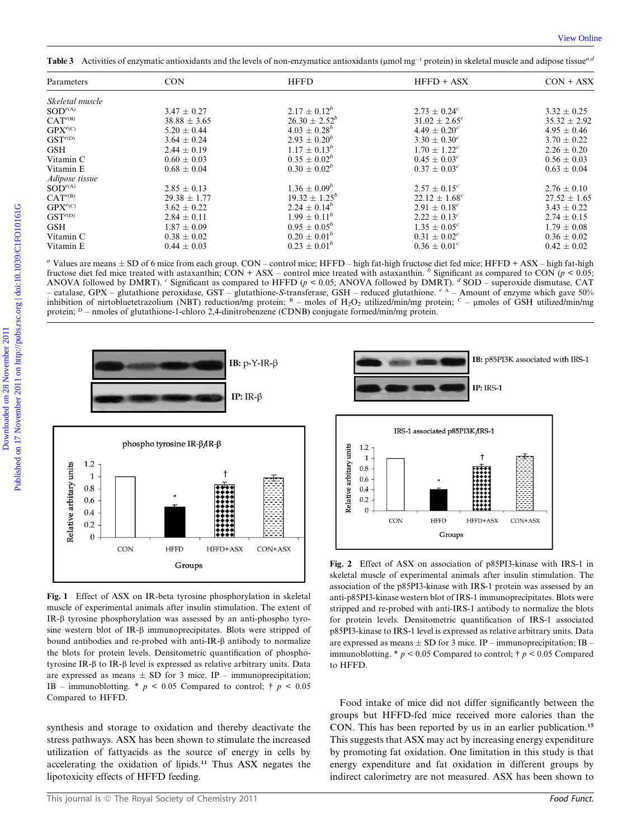Table 3 Activities of enzymatic antioxidants and the levels of non-enzymatice antioxidants ( $\mu$ mol mg<sup>-1</sup> protein) in skeletal muscle and adipose tissue<sup>*a*,a</sup>

| Parameters             | <b>CON</b>       | <b>HFFD</b>                                                                                                                             | HFFD + ASX                                                                                                                                                                                                                                                                                                                                                                                                                                                                       | $CON + ASX$                       |
|------------------------|------------------|-----------------------------------------------------------------------------------------------------------------------------------------|----------------------------------------------------------------------------------------------------------------------------------------------------------------------------------------------------------------------------------------------------------------------------------------------------------------------------------------------------------------------------------------------------------------------------------------------------------------------------------|-----------------------------------|
| Skeletal muscle        |                  |                                                                                                                                         |                                                                                                                                                                                                                                                                                                                                                                                                                                                                                  |                                   |
| $SOD^{e(A)}$           | $3.47 \pm 0.27$  | $2.17 \pm 0.12^b$                                                                                                                       | $2.73 \pm 0.24$ <sup>c</sup>                                                                                                                                                                                                                                                                                                                                                                                                                                                     | $3.32 \pm 0.25$                   |
| CAT <sup>e(B)</sup>    | $38.88 \pm 3.65$ | $26.30 \pm 2.52^b$                                                                                                                      | $31.02 \pm 2.65^c$                                                                                                                                                                                                                                                                                                                                                                                                                                                               | $35.32 \pm 2.92$                  |
| $GPX^{e(C)}$           | $5.20 \pm 0.44$  | $4.03 \pm 0.28^b$                                                                                                                       | $4.49 \pm 0.20^c$                                                                                                                                                                                                                                                                                                                                                                                                                                                                | $4.95 \pm 0.46$                   |
| $GST^{e(D)}$           | $3.64 \pm 0.24$  | $2.93 \pm 0.20^b$                                                                                                                       | $3.30 \pm 0.30^c$                                                                                                                                                                                                                                                                                                                                                                                                                                                                | $3.70 \pm 0.22$                   |
| <b>GSH</b>             | $2.44 \pm 0.19$  | $1.17 \pm 0.13^{b}$                                                                                                                     | $1.70 \pm 1.22^c$                                                                                                                                                                                                                                                                                                                                                                                                                                                                | $2.26 \pm 0.20$                   |
| Vitamin C              | $0.60 \pm 0.03$  | $0.35 \pm 0.02^b$                                                                                                                       | $0.45 \pm 0.03^c$                                                                                                                                                                                                                                                                                                                                                                                                                                                                | $0.56 \pm 0.03$                   |
| Vitamin E              | $0.68 \pm 0.04$  | $0.30 \pm 0.02^b$                                                                                                                       | $0.37 \pm 0.03^c$                                                                                                                                                                                                                                                                                                                                                                                                                                                                | $0.63 \pm 0.04$                   |
| Adipose tissue         |                  |                                                                                                                                         |                                                                                                                                                                                                                                                                                                                                                                                                                                                                                  |                                   |
| $SOD^{e(A)}$           | $2.85 \pm 0.13$  | $1.36 \pm 0.09^b$                                                                                                                       | $2.57 \pm 0.15^{c}$                                                                                                                                                                                                                                                                                                                                                                                                                                                              | $2.76 \pm 0.10$                   |
| $CAT^{e(B)}$           | $29.38 \pm 1.77$ | $19.32 \pm 1.25^b$                                                                                                                      | $22.12 \pm 1.68$ <sup>c</sup>                                                                                                                                                                                                                                                                                                                                                                                                                                                    | $27.52 \pm 1.65$                  |
| $GPX^{e(C)}$           | $3.62 \pm 0.22$  | $2.24 \pm 0.14^b$                                                                                                                       | $2.91 \pm 0.18^c$                                                                                                                                                                                                                                                                                                                                                                                                                                                                | $3.43 \pm 0.22$                   |
| $GST^{e(D)}$           | $2.84 \pm 0.11$  | $1.99 \pm 0.11^b$                                                                                                                       | $2.22 \pm 0.13^c$                                                                                                                                                                                                                                                                                                                                                                                                                                                                | $2.74 \pm 0.15$                   |
| <b>GSH</b>             | $1.87 \pm 0.09$  | $0.95 \pm 0.05^b$                                                                                                                       | $1.35 \pm 0.05^{c}$                                                                                                                                                                                                                                                                                                                                                                                                                                                              | $1.79 \pm 0.08$                   |
|                        | $0.38 \pm 0.02$  | $0.20 \pm 0.01^b$                                                                                                                       | $0.31 \pm 0.02^c$                                                                                                                                                                                                                                                                                                                                                                                                                                                                | $0.36 \pm 0.02$                   |
|                        |                  |                                                                                                                                         |                                                                                                                                                                                                                                                                                                                                                                                                                                                                                  |                                   |
|                        | $0.44 \pm 0.03$  | $0.23 \pm 0.01^b$                                                                                                                       | $0.36 \pm 0.01^c$<br>" Values are means $\pm$ SD of 6 mice from each group. CON – control mice; HFFD – high fat-high fructose diet fed mice; HFFD + ASX – high fat-high<br>fructose diet fed mice treated with astaxanthin; CON + ASX – control mice treated with astaxanthin. <sup>b</sup> Significant as compared to CON ( $p < 0.05$ ;<br>ANOVA followed by DMRT). Climaticant as compared to HFFD ( $p < 0.05$ ; ANOVA followed by DMRT). Climatic superoxide dismutase, CAT | $0.42 \pm 0.02$                   |
| Vitamin C<br>Vitamin E |                  |                                                                                                                                         | - catalase, GPX - glutathione peroxidase, GST - glutathione-S-transferase, GSH - reduced glutathione. $e^{A}$ - Amount of enzyme which gave 50%<br>inhibition of nirtobluetetrazolium (NBT) reduction/mg protein; $B$ – moles of H <sub>2</sub> O <sub>2</sub> utilized/min/mg protein; $C$ – umoles of GSH utilized/min/mg                                                                                                                                                      |                                   |
|                        |                  | protein; <sup>D</sup> – nmoles of glutathione-1-chloro 2,4-dinitrobenzene (CDNB) conjugate formed/min/mg protein.<br>IB: $p-Y-IR-\beta$ |                                                                                                                                                                                                                                                                                                                                                                                                                                                                                  |                                   |
|                        | IP: IR- $\beta$  |                                                                                                                                         | $IP: IRS-1$                                                                                                                                                                                                                                                                                                                                                                                                                                                                      |                                   |
|                        |                  |                                                                                                                                         | IRS-1 associated p85PI3K/IRS-1                                                                                                                                                                                                                                                                                                                                                                                                                                                   | IB: p85PI3K associated with IRS-1 |

<sup>a</sup> Values are means  $\pm$  SD of 6 mice from each group. CON – control mice; HFFD – high fat-high fructose diet fed mice; HFFD + ASX – high fat-high fructose diet fed mice treated with astaxanthin; CON + ASX – control mice treated with astaxanthin.  $\frac{b}{b}$  Significant as compared to CON (p < 0.05; ANOVA followed by DMRT). <sup>c</sup> Significant as compared to HFFD ( $p < 0.05$ ; ANOVA followed by DMRT). <sup>d</sup> SOD – superoxide dismutase, CAT catalase, GPX – glutathione peroxidase, GST – glutathione-S-transferase, GSH – reduced glutathione.  $e^{\lambda}$  – Amount of enzyme which gave 50% inhibition of nirtobluetetrazolium (NBT) reduction/mg protein;  $B -$  moles of H<sub>2</sub>O<sub>2</sub> utilized/min/mg protein;  $C -$  umoles of GSH utilized/min/mg protein; <sup>D</sup> – nmoles of glutathione-1-chloro 2,4-dinitrobenzene (CDNB) conjugate formed/min/mg protein.



Fig. 1 Effect of ASX on IR-beta tyrosine phosphorylation in skeletal muscle of experimental animals after insulin stimulation. The extent of IR-b tyrosine phosphorylation was assessed by an anti-phospho tyrosine western blot of IR- $\beta$  immunoprecipitates. Blots were stripped of bound antibodies and re-probed with anti-IR- $\beta$  antibody to normalize the blots for protein levels. Densitometric quantification of phosphotyrosine IR- $\beta$  to IR- $\beta$  level is expressed as relative arbitrary units. Data are expressed as means  $\pm$  SD for 3 mice. IP – immunoprecipitation; IB – immunoblotting. \*  $p \le 0.05$  Compared to control; †  $p \le 0.05$ Compared to HFFD.

synthesis and storage to oxidation and thereby deactivate the stress pathways. ASX has been shown to stimulate the increased utilization of fattyacids as the source of energy in cells by accelerating the oxidation of lipids.<sup>11</sup> Thus ASX negates the lipotoxicity effects of HFFD feeding.



Fig. 2 Effect of ASX on association of p85PI3-kinase with IRS-1 in skeletal muscle of experimental animals after insulin stimulation. The association of the p85PI3-kinase with IRS-1 protein was assessed by an anti-p85PI3-kinase western blot of IRS-1 immunoprecipitates. Blots were stripped and re-probed with anti-IRS-1 antibody to normalize the blots for protein levels. Densitometric quantification of IRS-1 associated p85PI3-kinase to IRS-1 level is expressed as relative arbitrary units. Data are expressed as means  $\pm$  SD for 3 mice. IP – immunoprecipitation; IB – immunoblotting. \*  $p < 0.05$  Compared to control; †  $p < 0.05$  Compared to HFFD.

Food intake of mice did not differ significantly between the groups but HFFD-fed mice received more calories than the CON. This has been reported by us in an earlier publication.<sup>15</sup> This suggests that ASX may act by increasing energy expenditure by promoting fat oxidation. One limitation in this study is that energy expenditure and fat oxidation in different groups by indirect calorimetry are not measured. ASX has been shown to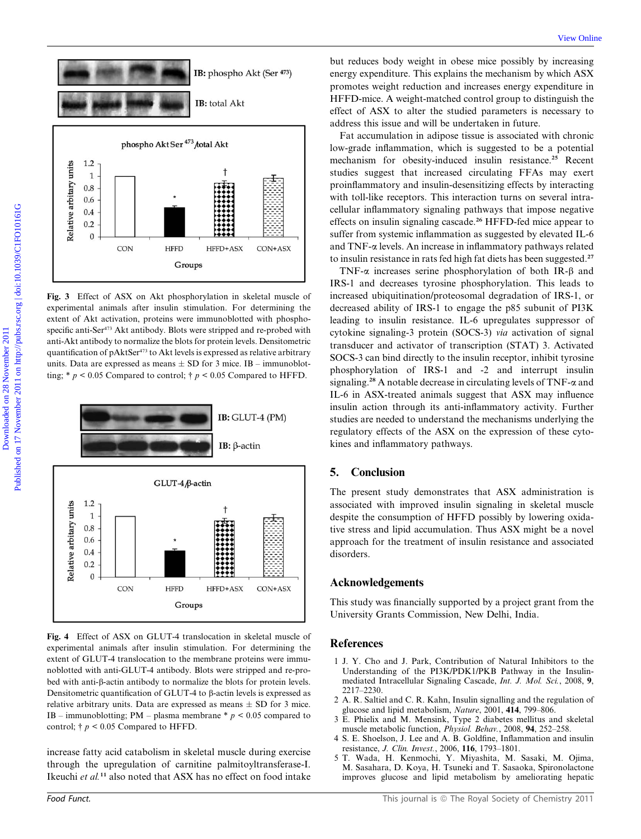

Fig. 3 Effect of ASX on Akt phosphorylation in skeletal muscle of experimental animals after insulin stimulation. For determining the extent of Akt activation, proteins were immunoblotted with phosphospecific anti-Ser<sup>473</sup> Akt antibody. Blots were stripped and re-probed with anti-Akt antibody to normalize the blots for protein levels. Densitometric quantification of pAktSer<sup>473</sup> to Akt levels is expressed as relative arbitrary units. Data are expressed as means  $\pm$  SD for 3 mice. IB – immunoblotting;  $* p < 0.05$  Compared to control;  $\dagger p < 0.05$  Compared to HFFD.



Fig. 4 Effect of ASX on GLUT-4 translocation in skeletal muscle of experimental animals after insulin stimulation. For determining the extent of GLUT-4 translocation to the membrane proteins were immunoblotted with anti-GLUT-4 antibody. Blots were stripped and re-probed with anti- $\beta$ -actin antibody to normalize the blots for protein levels. Densitometric quantification of GLUT-4 to  $\beta$ -actin levels is expressed as relative arbitrary units. Data are expressed as means  $\pm$  SD for 3 mice. IB – immunoblotting; PM – plasma membrane  $*$   $p$  < 0.05 compared to control;  $\dagger p$  < 0.05 Compared to HFFD.

increase fatty acid catabolism in skeletal muscle during exercise through the upregulation of carnitine palmitoyltransferase-I. Ikeuchi et al.<sup>11</sup> also noted that ASX has no effect on food intake

but reduces body weight in obese mice possibly by increasing energy expenditure. This explains the mechanism by which ASX promotes weight reduction and increases energy expenditure in HFFD-mice. A weight-matched control group to distinguish the effect of ASX to alter the studied parameters is necessary to address this issue and will be undertaken in future.

Fat accumulation in adipose tissue is associated with chronic low-grade inflammation, which is suggested to be a potential mechanism for obesity-induced insulin resistance.<sup>25</sup> Recent studies suggest that increased circulating FFAs may exert proinflammatory and insulin-desensitizing effects by interacting with toll-like receptors. This interaction turns on several intracellular inflammatory signaling pathways that impose negative effects on insulin signaling cascade.<sup>26</sup> HFFD-fed mice appear to suffer from systemic inflammation as suggested by elevated IL-6 and TNF-a levels. An increase in inflammatory pathways related to insulin resistance in rats fed high fat diets has been suggested.<sup>27</sup>

TNF- $\alpha$  increases serine phosphorylation of both IR- $\beta$  and IRS-1 and decreases tyrosine phosphorylation. This leads to increased ubiquitination/proteosomal degradation of IRS-1, or decreased ability of IRS-1 to engage the p85 subunit of PI3K leading to insulin resistance. IL-6 upregulates suppressor of cytokine signaling-3 protein (SOCS-3) via activation of signal transducer and activator of transcription (STAT) 3. Activated SOCS-3 can bind directly to the insulin receptor, inhibit tyrosine phosphorylation of IRS-1 and -2 and interrupt insulin signaling.<sup>28</sup> A notable decrease in circulating levels of TNF- $\alpha$  and IL-6 in ASX-treated animals suggest that ASX may influence insulin action through its anti-inflammatory activity. Further studies are needed to understand the mechanisms underlying the regulatory effects of the ASX on the expression of these cytokines and inflammatory pathways.

# 5. Conclusion

The present study demonstrates that ASX administration is associated with improved insulin signaling in skeletal muscle despite the consumption of HFFD possibly by lowering oxidative stress and lipid accumulation. Thus ASX might be a novel approach for the treatment of insulin resistance and associated disorders.

# Acknowledgements

This study was financially supported by a project grant from the University Grants Commission, New Delhi, India.

### **References**

- 1 J. Y. Cho and J. Park, Contribution of Natural Inhibitors to the Understanding of the PI3K/PDK1/PKB Pathway in the Insulinmediated Intracellular Signaling Cascade, Int. J. Mol. Sci., 2008, 9, 2217–2230.
- 2 A. R. Saltiel and C. R. Kahn, Insulin signalling and the regulation of glucose and lipid metabolism, Nature, 2001, 414, 799–806.
- 3 E. Phielix and M. Mensink, Type 2 diabetes mellitus and skeletal muscle metabolic function, Physiol. Behav., 2008, 94, 252–258.
- 4 S. E. Shoelson, J. Lee and A. B. Goldfine, Inflammation and insulin resistance, J. Clin. Invest., 2006, 116, 1793–1801.
- 5 T. Wada, H. Kenmochi, Y. Miyashita, M. Sasaki, M. Ojima, M. Sasahara, D. Koya, H. Tsuneki and T. Sasaoka, Spironolactone improves glucose and lipid metabolism by ameliorating hepatic